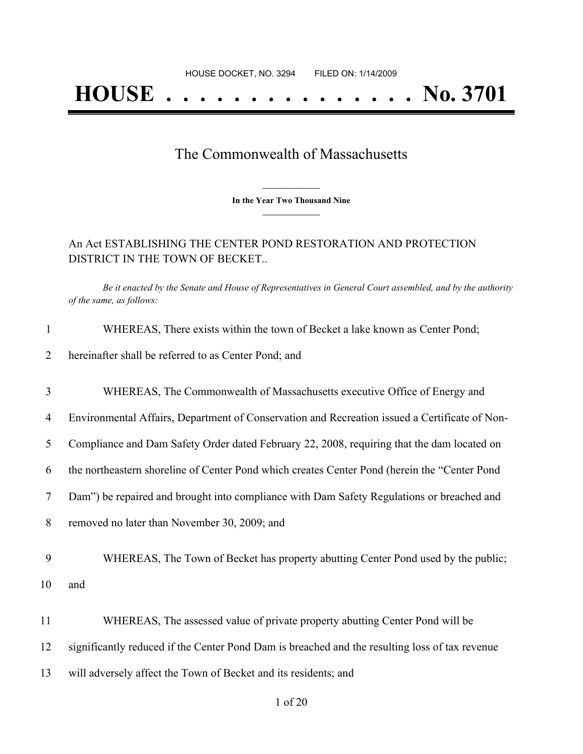## **HOUSE . . . . . . . . . . . . . . . No. 3701**

## The Commonwealth of Massachusetts

**\_\_\_\_\_\_\_\_\_\_\_\_\_\_\_ In the Year Two Thousand Nine \_\_\_\_\_\_\_\_\_\_\_\_\_\_\_**

## An Act ESTABLISHING THE CENTER POND RESTORATION AND PROTECTION DISTRICT IN THE TOWN OF BECKET..

Be it enacted by the Senate and House of Representatives in General Court assembled, and by the authority

|                | of the same, as follows:                                                                       |
|----------------|------------------------------------------------------------------------------------------------|
| $\mathbf{1}$   | WHEREAS, There exists within the town of Becket a lake known as Center Pond;                   |
| $\overline{2}$ | hereinafter shall be referred to as Center Pond; and                                           |
| $\mathfrak{Z}$ | WHEREAS, The Commonwealth of Massachusetts executive Office of Energy and                      |
| $\overline{4}$ | Environmental Affairs, Department of Conservation and Recreation issued a Certificate of Non-  |
| 5              | Compliance and Dam Safety Order dated February 22, 2008, requiring that the dam located on     |
| 6              | the northeastern shoreline of Center Pond which creates Center Pond (herein the "Center Pond   |
| $\tau$         | Dam") be repaired and brought into compliance with Dam Safety Regulations or breached and      |
| 8              | removed no later than November 30, 2009; and                                                   |
| 9              | WHEREAS, The Town of Becket has property abutting Center Pond used by the public;              |
| 10             | and                                                                                            |
| 11             | WHEREAS, The assessed value of private property abutting Center Pond will be                   |
| 12             | significantly reduced if the Center Pond Dam is breached and the resulting loss of tax revenue |
| 13             | will adversely affect the Town of Becket and its residents; and                                |
|                |                                                                                                |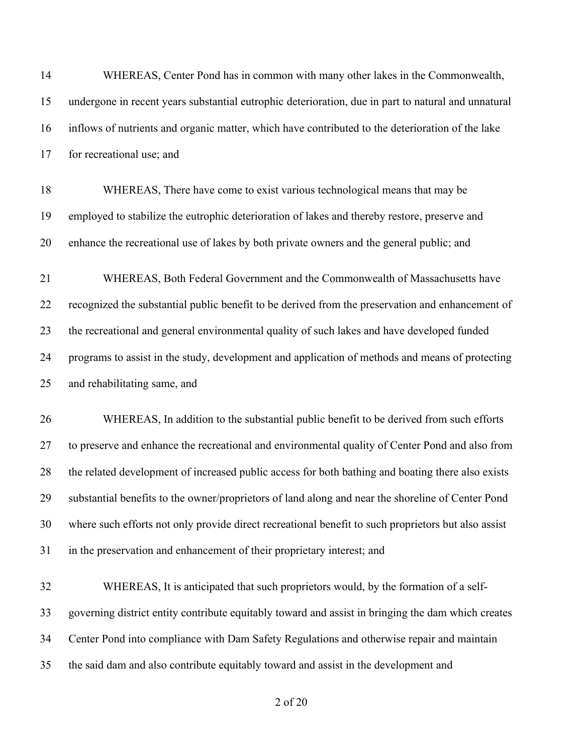| 14 | WHEREAS, Center Pond has in common with many other lakes in the Commonwealth,                       |
|----|-----------------------------------------------------------------------------------------------------|
| 15 | undergone in recent years substantial eutrophic deterioration, due in part to natural and unnatural |
| 16 | inflows of nutrients and organic matter, which have contributed to the deterioration of the lake    |
| 17 | for recreational use; and                                                                           |
| 18 | WHEREAS, There have come to exist various technological means that may be                           |
| 19 | employed to stabilize the eutrophic deterioration of lakes and thereby restore, preserve and        |
| 20 | enhance the recreational use of lakes by both private owners and the general public; and            |
| 21 | WHEREAS, Both Federal Government and the Commonwealth of Massachusetts have                         |
| 22 | recognized the substantial public benefit to be derived from the preservation and enhancement of    |
| 23 | the recreational and general environmental quality of such lakes and have developed funded          |
| 24 | programs to assist in the study, development and application of methods and means of protecting     |
| 25 | and rehabilitating same, and                                                                        |
| 26 | WHEREAS, In addition to the substantial public benefit to be derived from such efforts              |
| 27 | to preserve and enhance the recreational and environmental quality of Center Pond and also from     |
| 28 | the related development of increased public access for both bathing and boating there also exists   |
| 29 | substantial benefits to the owner/proprietors of land along and near the shoreline of Center Pond   |
| 30 | where such efforts not only provide direct recreational benefit to such proprietors but also assist |
| 31 | in the preservation and enhancement of their proprietary interest; and                              |
| 32 | WHEREAS, It is anticipated that such proprietors would, by the formation of a self-                 |
| 33 | governing district entity contribute equitably toward and assist in bringing the dam which creates  |
| 34 | Center Pond into compliance with Dam Safety Regulations and otherwise repair and maintain           |
| 35 | the said dam and also contribute equitably toward and assist in the development and                 |
|    |                                                                                                     |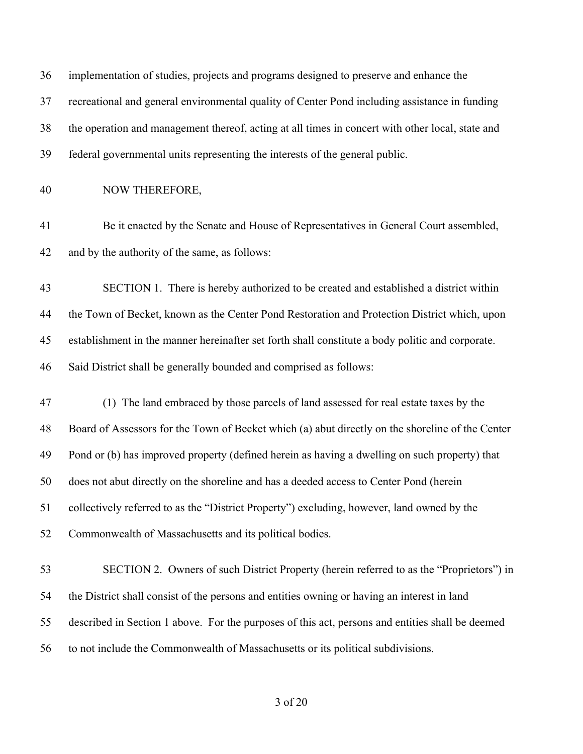| 36 | implementation of studies, projects and programs designed to preserve and enhance the            |
|----|--------------------------------------------------------------------------------------------------|
| 37 | recreational and general environmental quality of Center Pond including assistance in funding    |
| 38 | the operation and management thereof, acting at all times in concert with other local, state and |
| 39 | federal governmental units representing the interests of the general public.                     |
| 40 | NOW THEREFORE,                                                                                   |
| 41 | Be it enacted by the Senate and House of Representatives in General Court assembled,             |
| 42 | and by the authority of the same, as follows:                                                    |
| 43 | SECTION 1. There is hereby authorized to be created and established a district within            |
| 44 | the Town of Becket, known as the Center Pond Restoration and Protection District which, upon     |
| 45 | establishment in the manner hereinafter set forth shall constitute a body politic and corporate. |
| 46 | Said District shall be generally bounded and comprised as follows:                               |
| 47 | (1) The land embraced by those parcels of land assessed for real estate taxes by the             |
| 48 | Board of Assessors for the Town of Becket which (a) abut directly on the shoreline of the Center |
| 49 | Pond or (b) has improved property (defined herein as having a dwelling on such property) that    |
| 50 | does not abut directly on the shoreline and has a deeded access to Center Pond (herein           |
| 51 | collectively referred to as the "District Property") excluding, however, land owned by the       |
| 52 | Commonwealth of Massachusetts and its political bodies.                                          |
| 53 | SECTION 2. Owners of such District Property (herein referred to as the "Proprietors") in         |
| 54 | the District shall consist of the persons and entities owning or having an interest in land      |
| 55 | described in Section 1 above. For the purposes of this act, persons and entities shall be deemed |
| 56 | to not include the Commonwealth of Massachusetts or its political subdivisions.                  |
|    |                                                                                                  |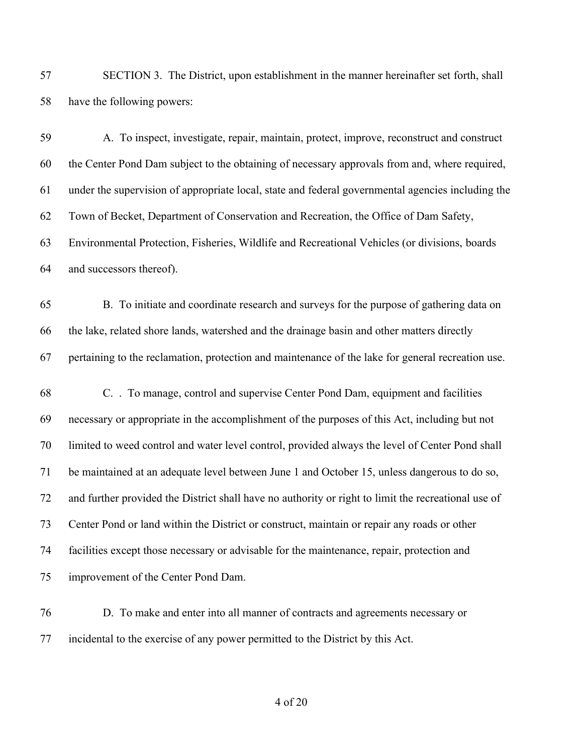SECTION 3. The District, upon establishment in the manner hereinafter set forth, shall have the following powers:

| 59     | A. To inspect, investigate, repair, maintain, protect, improve, reconstruct and construct           |
|--------|-----------------------------------------------------------------------------------------------------|
| 60     | the Center Pond Dam subject to the obtaining of necessary approvals from and, where required,       |
| 61     | under the supervision of appropriate local, state and federal governmental agencies including the   |
| 62     | Town of Becket, Department of Conservation and Recreation, the Office of Dam Safety,                |
| 63     | Environmental Protection, Fisheries, Wildlife and Recreational Vehicles (or divisions, boards       |
| 64     | and successors thereof).                                                                            |
| 65     | B. To initiate and coordinate research and surveys for the purpose of gathering data on             |
| 66     | the lake, related shore lands, watershed and the drainage basin and other matters directly          |
| 67     | pertaining to the reclamation, protection and maintenance of the lake for general recreation use.   |
| 68     | C. . To manage, control and supervise Center Pond Dam, equipment and facilities                     |
| 69     | necessary or appropriate in the accomplishment of the purposes of this Act, including but not       |
| 70     | limited to weed control and water level control, provided always the level of Center Pond shall     |
| 71     | be maintained at an adequate level between June 1 and October 15, unless dangerous to do so,        |
| 72     | and further provided the District shall have no authority or right to limit the recreational use of |
| 73     | Center Pond or land within the District or construct, maintain or repair any roads or other         |
| 74     | facilities except those necessary or advisable for the maintenance, repair, protection and          |
| 75     | improvement of the Center Pond Dam.                                                                 |
| $\tau$ | D. To make and enterinte all monumer of contracts and concernants necessary                         |

 D. To make and enter into all manner of contracts and agreements necessary or incidental to the exercise of any power permitted to the District by this Act.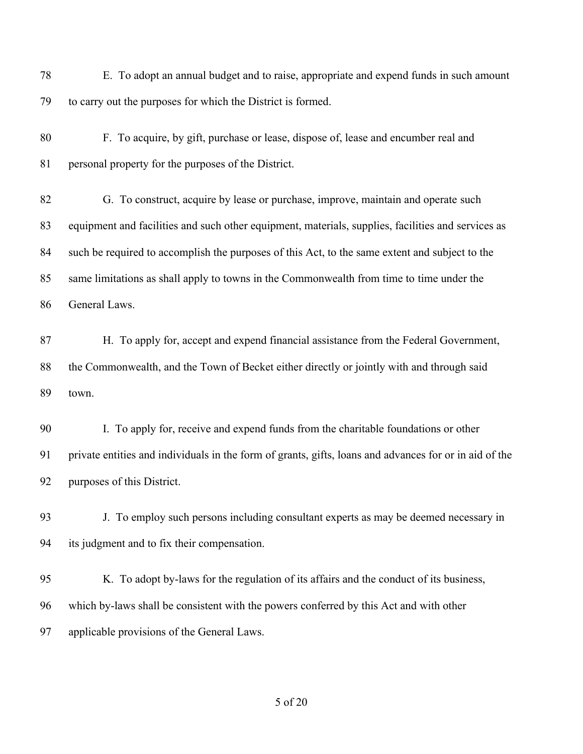E. To adopt an annual budget and to raise, appropriate and expend funds in such amount to carry out the purposes for which the District is formed. F. To acquire, by gift, purchase or lease, dispose of, lease and encumber real and personal property for the purposes of the District. G. To construct, acquire by lease or purchase, improve, maintain and operate such equipment and facilities and such other equipment, materials, supplies, facilities and services as such be required to accomplish the purposes of this Act, to the same extent and subject to the same limitations as shall apply to towns in the Commonwealth from time to time under the General Laws. H. To apply for, accept and expend financial assistance from the Federal Government, the Commonwealth, and the Town of Becket either directly or jointly with and through said town. I. To apply for, receive and expend funds from the charitable foundations or other private entities and individuals in the form of grants, gifts, loans and advances for or in aid of the purposes of this District. J. To employ such persons including consultant experts as may be deemed necessary in its judgment and to fix their compensation. K. To adopt by-laws for the regulation of its affairs and the conduct of its business, which by-laws shall be consistent with the powers conferred by this Act and with other applicable provisions of the General Laws.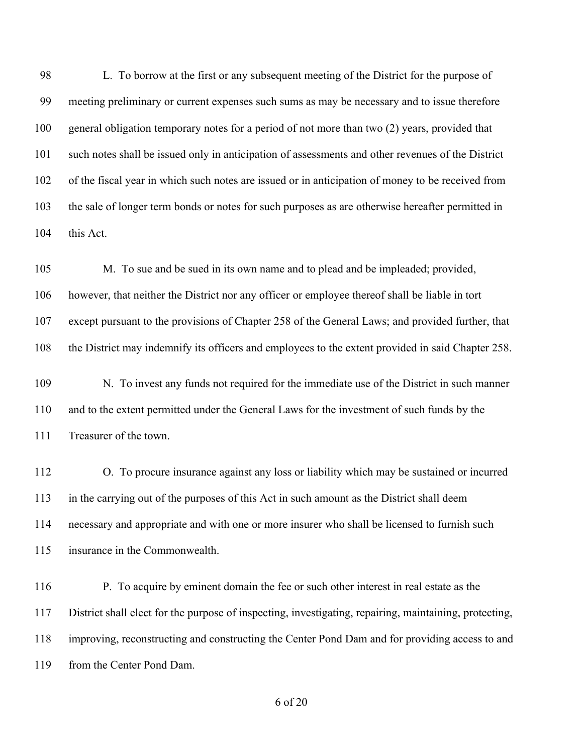L. To borrow at the first or any subsequent meeting of the District for the purpose of meeting preliminary or current expenses such sums as may be necessary and to issue therefore general obligation temporary notes for a period of not more than two (2) years, provided that such notes shall be issued only in anticipation of assessments and other revenues of the District of the fiscal year in which such notes are issued or in anticipation of money to be received from the sale of longer term bonds or notes for such purposes as are otherwise hereafter permitted in this Act.

 M. To sue and be sued in its own name and to plead and be impleaded; provided, however, that neither the District nor any officer or employee thereof shall be liable in tort except pursuant to the provisions of Chapter 258 of the General Laws; and provided further, that the District may indemnify its officers and employees to the extent provided in said Chapter 258.

 N. To invest any funds not required for the immediate use of the District in such manner and to the extent permitted under the General Laws for the investment of such funds by the Treasurer of the town.

 O. To procure insurance against any loss or liability which may be sustained or incurred in the carrying out of the purposes of this Act in such amount as the District shall deem necessary and appropriate and with one or more insurer who shall be licensed to furnish such insurance in the Commonwealth.

 P. To acquire by eminent domain the fee or such other interest in real estate as the District shall elect for the purpose of inspecting, investigating, repairing, maintaining, protecting, improving, reconstructing and constructing the Center Pond Dam and for providing access to and from the Center Pond Dam.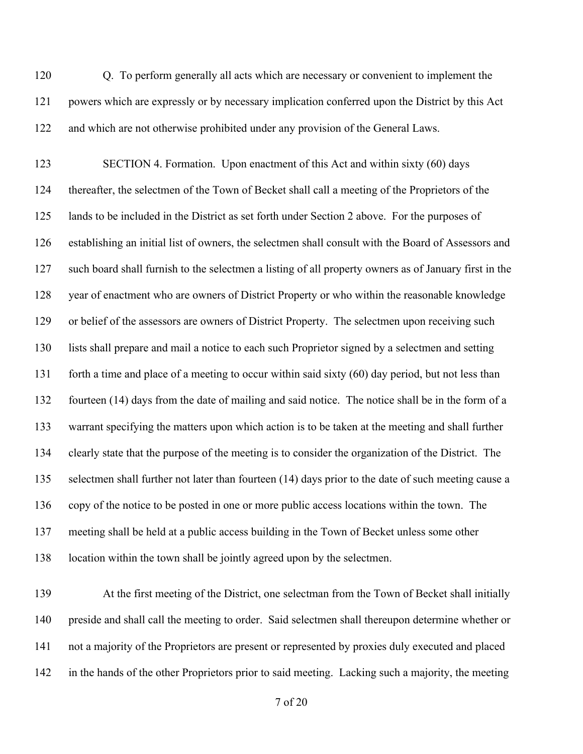Q. To perform generally all acts which are necessary or convenient to implement the powers which are expressly or by necessary implication conferred upon the District by this Act and which are not otherwise prohibited under any provision of the General Laws.

 SECTION 4. Formation. Upon enactment of this Act and within sixty (60) days thereafter, the selectmen of the Town of Becket shall call a meeting of the Proprietors of the lands to be included in the District as set forth under Section 2 above. For the purposes of establishing an initial list of owners, the selectmen shall consult with the Board of Assessors and such board shall furnish to the selectmen a listing of all property owners as of January first in the year of enactment who are owners of District Property or who within the reasonable knowledge or belief of the assessors are owners of District Property. The selectmen upon receiving such lists shall prepare and mail a notice to each such Proprietor signed by a selectmen and setting forth a time and place of a meeting to occur within said sixty (60) day period, but not less than fourteen (14) days from the date of mailing and said notice. The notice shall be in the form of a warrant specifying the matters upon which action is to be taken at the meeting and shall further clearly state that the purpose of the meeting is to consider the organization of the District. The selectmen shall further not later than fourteen (14) days prior to the date of such meeting cause a copy of the notice to be posted in one or more public access locations within the town. The meeting shall be held at a public access building in the Town of Becket unless some other location within the town shall be jointly agreed upon by the selectmen.

 At the first meeting of the District, one selectman from the Town of Becket shall initially preside and shall call the meeting to order. Said selectmen shall thereupon determine whether or not a majority of the Proprietors are present or represented by proxies duly executed and placed in the hands of the other Proprietors prior to said meeting. Lacking such a majority, the meeting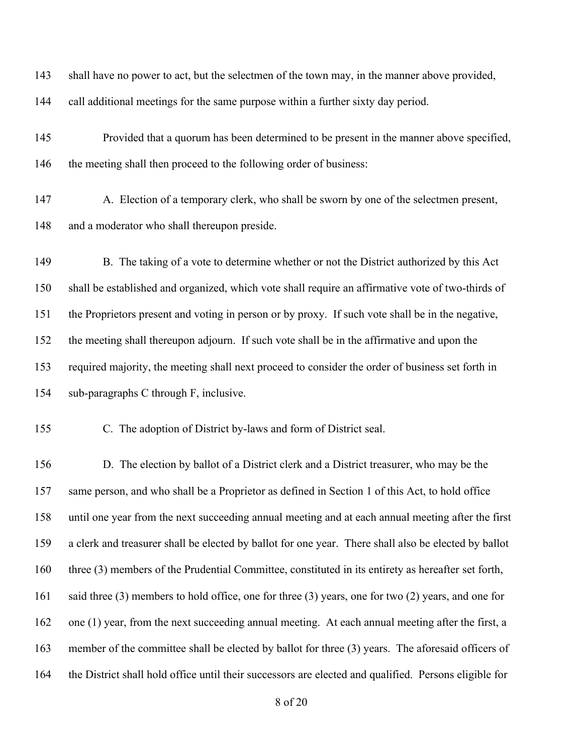| 143 | shall have no power to act, but the selectmen of the town may, in the manner above provided,             |
|-----|----------------------------------------------------------------------------------------------------------|
| 144 | call additional meetings for the same purpose within a further sixty day period.                         |
| 145 | Provided that a quorum has been determined to be present in the manner above specified,                  |
| 146 | the meeting shall then proceed to the following order of business:                                       |
| 147 | A. Election of a temporary clerk, who shall be sworn by one of the selectmen present,                    |
| 148 | and a moderator who shall thereupon preside.                                                             |
| 149 | B. The taking of a vote to determine whether or not the District authorized by this Act                  |
| 150 | shall be established and organized, which vote shall require an affirmative vote of two-thirds of        |
| 151 | the Proprietors present and voting in person or by proxy. If such vote shall be in the negative,         |
| 152 | the meeting shall thereupon adjourn. If such vote shall be in the affirmative and upon the               |
| 153 | required majority, the meeting shall next proceed to consider the order of business set forth in         |
|     |                                                                                                          |
| 154 | sub-paragraphs C through F, inclusive.                                                                   |
| 155 | C. The adoption of District by-laws and form of District seal.                                           |
| 156 | D. The election by ballot of a District clerk and a District treasurer, who may be the                   |
| 157 | same person, and who shall be a Proprietor as defined in Section 1 of this Act, to hold office           |
| 158 | until one year from the next succeeding annual meeting and at each annual meeting after the first        |
| 159 | a clerk and treasurer shall be elected by ballot for one year. There shall also be elected by ballot     |
| 160 | three (3) members of the Prudential Committee, constituted in its entirety as hereafter set forth,       |
| 161 | said three $(3)$ members to hold office, one for three $(3)$ years, one for two $(2)$ years, and one for |
| 162 | one (1) year, from the next succeeding annual meeting. At each annual meeting after the first, a         |
| 163 | member of the committee shall be elected by ballot for three (3) years. The aforesaid officers of        |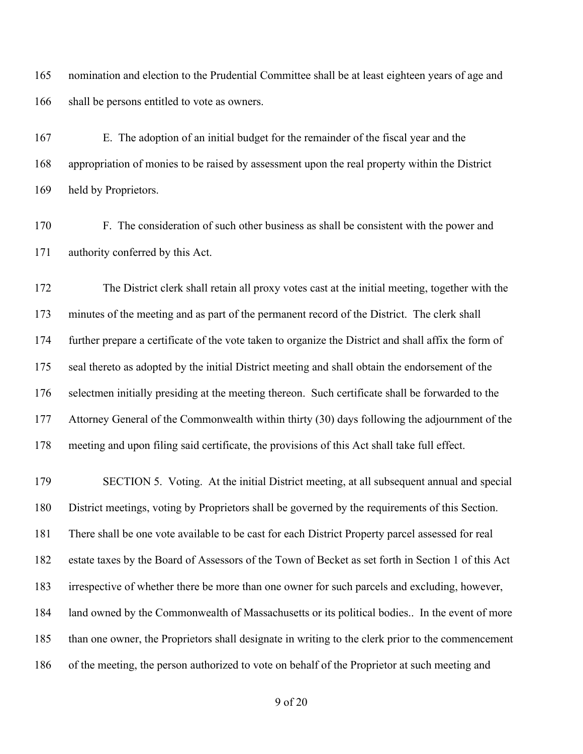nomination and election to the Prudential Committee shall be at least eighteen years of age and 166 shall be persons entitled to vote as owners.

 E. The adoption of an initial budget for the remainder of the fiscal year and the appropriation of monies to be raised by assessment upon the real property within the District held by Proprietors.

 F. The consideration of such other business as shall be consistent with the power and authority conferred by this Act.

 The District clerk shall retain all proxy votes cast at the initial meeting, together with the minutes of the meeting and as part of the permanent record of the District. The clerk shall further prepare a certificate of the vote taken to organize the District and shall affix the form of seal thereto as adopted by the initial District meeting and shall obtain the endorsement of the selectmen initially presiding at the meeting thereon. Such certificate shall be forwarded to the Attorney General of the Commonwealth within thirty (30) days following the adjournment of the meeting and upon filing said certificate, the provisions of this Act shall take full effect.

 SECTION 5. Voting. At the initial District meeting, at all subsequent annual and special District meetings, voting by Proprietors shall be governed by the requirements of this Section. There shall be one vote available to be cast for each District Property parcel assessed for real estate taxes by the Board of Assessors of the Town of Becket as set forth in Section 1 of this Act irrespective of whether there be more than one owner for such parcels and excluding, however, land owned by the Commonwealth of Massachusetts or its political bodies.. In the event of more than one owner, the Proprietors shall designate in writing to the clerk prior to the commencement of the meeting, the person authorized to vote on behalf of the Proprietor at such meeting and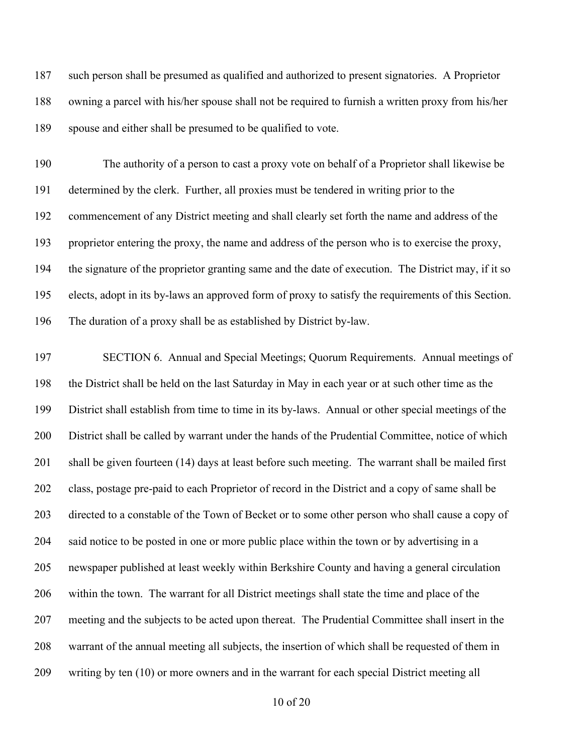such person shall be presumed as qualified and authorized to present signatories. A Proprietor owning a parcel with his/her spouse shall not be required to furnish a written proxy from his/her spouse and either shall be presumed to be qualified to vote.

 The authority of a person to cast a proxy vote on behalf of a Proprietor shall likewise be determined by the clerk. Further, all proxies must be tendered in writing prior to the commencement of any District meeting and shall clearly set forth the name and address of the proprietor entering the proxy, the name and address of the person who is to exercise the proxy, the signature of the proprietor granting same and the date of execution. The District may, if it so elects, adopt in its by-laws an approved form of proxy to satisfy the requirements of this Section. The duration of a proxy shall be as established by District by-law.

 SECTION 6. Annual and Special Meetings; Quorum Requirements. Annual meetings of the District shall be held on the last Saturday in May in each year or at such other time as the District shall establish from time to time in its by-laws. Annual or other special meetings of the District shall be called by warrant under the hands of the Prudential Committee, notice of which shall be given fourteen (14) days at least before such meeting. The warrant shall be mailed first class, postage pre-paid to each Proprietor of record in the District and a copy of same shall be directed to a constable of the Town of Becket or to some other person who shall cause a copy of said notice to be posted in one or more public place within the town or by advertising in a newspaper published at least weekly within Berkshire County and having a general circulation within the town. The warrant for all District meetings shall state the time and place of the meeting and the subjects to be acted upon thereat. The Prudential Committee shall insert in the warrant of the annual meeting all subjects, the insertion of which shall be requested of them in writing by ten (10) or more owners and in the warrant for each special District meeting all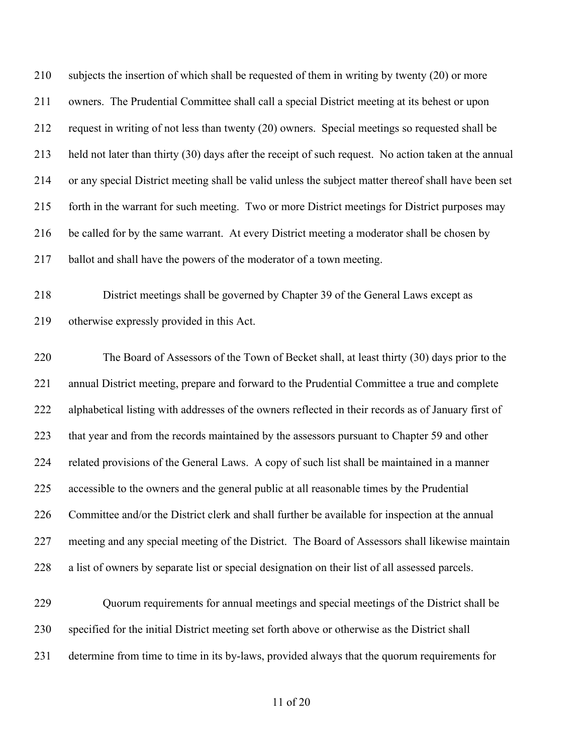subjects the insertion of which shall be requested of them in writing by twenty (20) or more owners. The Prudential Committee shall call a special District meeting at its behest or upon request in writing of not less than twenty (20) owners. Special meetings so requested shall be held not later than thirty (30) days after the receipt of such request. No action taken at the annual or any special District meeting shall be valid unless the subject matter thereof shall have been set forth in the warrant for such meeting. Two or more District meetings for District purposes may be called for by the same warrant. At every District meeting a moderator shall be chosen by ballot and shall have the powers of the moderator of a town meeting.

 District meetings shall be governed by Chapter 39 of the General Laws except as otherwise expressly provided in this Act.

 The Board of Assessors of the Town of Becket shall, at least thirty (30) days prior to the annual District meeting, prepare and forward to the Prudential Committee a true and complete alphabetical listing with addresses of the owners reflected in their records as of January first of 223 that year and from the records maintained by the assessors pursuant to Chapter 59 and other related provisions of the General Laws. A copy of such list shall be maintained in a manner accessible to the owners and the general public at all reasonable times by the Prudential Committee and/or the District clerk and shall further be available for inspection at the annual meeting and any special meeting of the District. The Board of Assessors shall likewise maintain a list of owners by separate list or special designation on their list of all assessed parcels.

 Quorum requirements for annual meetings and special meetings of the District shall be specified for the initial District meeting set forth above or otherwise as the District shall determine from time to time in its by-laws, provided always that the quorum requirements for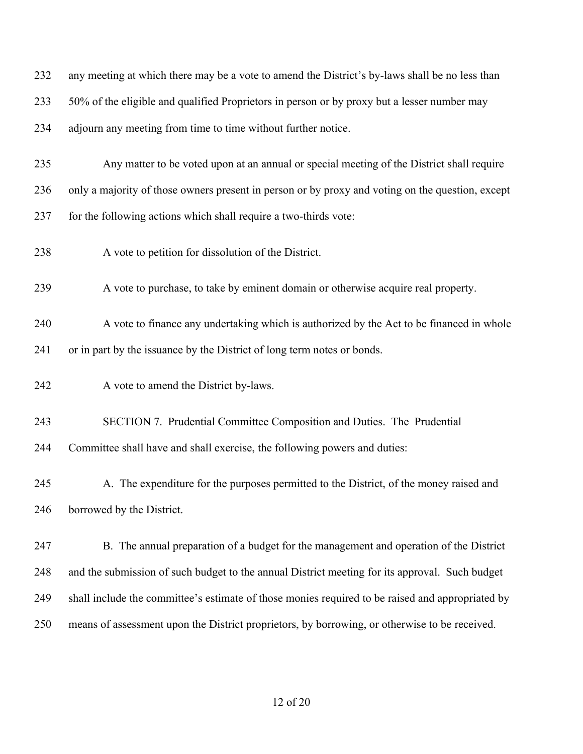| 232 | any meeting at which there may be a vote to amend the District's by-laws shall be no less than   |
|-----|--------------------------------------------------------------------------------------------------|
| 233 | 50% of the eligible and qualified Proprietors in person or by proxy but a lesser number may      |
| 234 | adjourn any meeting from time to time without further notice.                                    |
| 235 | Any matter to be voted upon at an annual or special meeting of the District shall require        |
| 236 | only a majority of those owners present in person or by proxy and voting on the question, except |
| 237 | for the following actions which shall require a two-thirds vote:                                 |
| 238 | A vote to petition for dissolution of the District.                                              |
| 239 | A vote to purchase, to take by eminent domain or otherwise acquire real property.                |
| 240 | A vote to finance any undertaking which is authorized by the Act to be financed in whole         |
| 241 | or in part by the issuance by the District of long term notes or bonds.                          |
| 242 | A vote to amend the District by-laws.                                                            |
| 243 | SECTION 7. Prudential Committee Composition and Duties. The Prudential                           |
| 244 | Committee shall have and shall exercise, the following powers and duties:                        |
| 245 | A. The expenditure for the purposes permitted to the District, of the money raised and           |
| 246 | borrowed by the District.                                                                        |
| 247 | B. The annual preparation of a budget for the management and operation of the District           |
| 248 | and the submission of such budget to the annual District meeting for its approval. Such budget   |
| 249 | shall include the committee's estimate of those monies required to be raised and appropriated by |
| 250 | means of assessment upon the District proprietors, by borrowing, or otherwise to be received.    |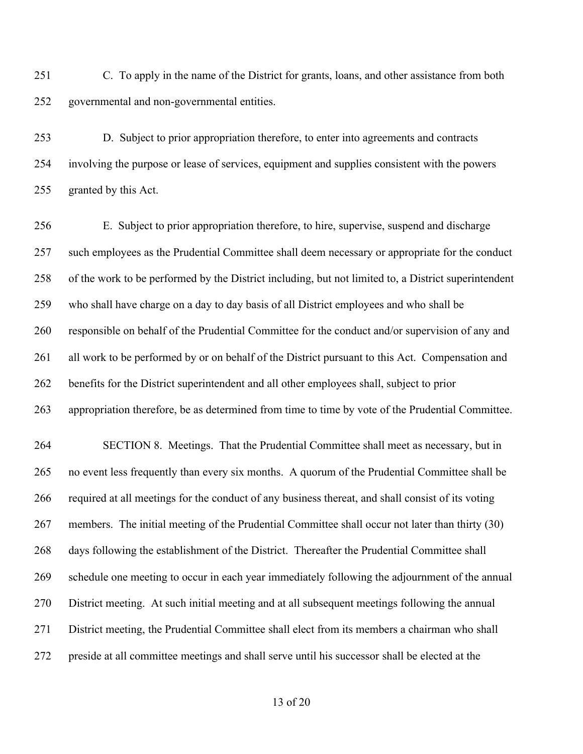C. To apply in the name of the District for grants, loans, and other assistance from both governmental and non-governmental entities.

 D. Subject to prior appropriation therefore, to enter into agreements and contracts involving the purpose or lease of services, equipment and supplies consistent with the powers granted by this Act.

 E. Subject to prior appropriation therefore, to hire, supervise, suspend and discharge such employees as the Prudential Committee shall deem necessary or appropriate for the conduct of the work to be performed by the District including, but not limited to, a District superintendent who shall have charge on a day to day basis of all District employees and who shall be responsible on behalf of the Prudential Committee for the conduct and/or supervision of any and 261 all work to be performed by or on behalf of the District pursuant to this Act. Compensation and benefits for the District superintendent and all other employees shall, subject to prior appropriation therefore, be as determined from time to time by vote of the Prudential Committee. SECTION 8. Meetings. That the Prudential Committee shall meet as necessary, but in no event less frequently than every six months. A quorum of the Prudential Committee shall be required at all meetings for the conduct of any business thereat, and shall consist of its voting members. The initial meeting of the Prudential Committee shall occur not later than thirty (30) days following the establishment of the District. Thereafter the Prudential Committee shall schedule one meeting to occur in each year immediately following the adjournment of the annual District meeting. At such initial meeting and at all subsequent meetings following the annual District meeting, the Prudential Committee shall elect from its members a chairman who shall preside at all committee meetings and shall serve until his successor shall be elected at the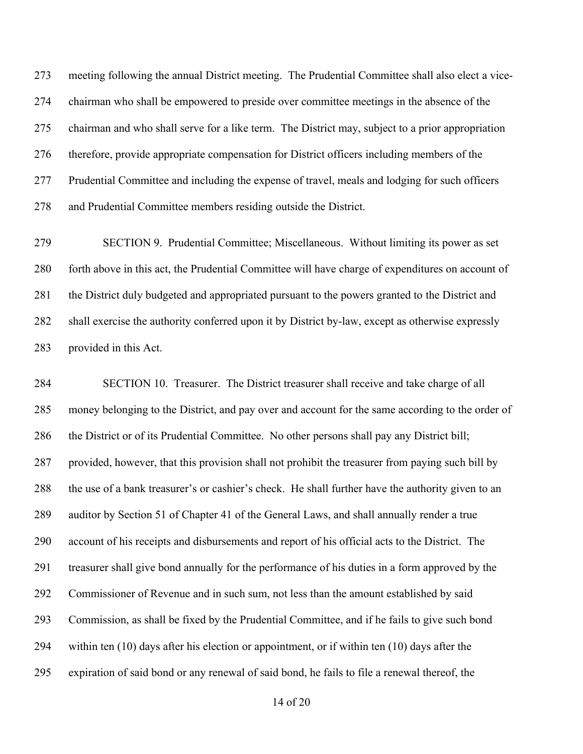meeting following the annual District meeting. The Prudential Committee shall also elect a vice- chairman who shall be empowered to preside over committee meetings in the absence of the chairman and who shall serve for a like term. The District may, subject to a prior appropriation therefore, provide appropriate compensation for District officers including members of the Prudential Committee and including the expense of travel, meals and lodging for such officers and Prudential Committee members residing outside the District.

 SECTION 9. Prudential Committee; Miscellaneous. Without limiting its power as set forth above in this act, the Prudential Committee will have charge of expenditures on account of 281 the District duly budgeted and appropriated pursuant to the powers granted to the District and shall exercise the authority conferred upon it by District by-law, except as otherwise expressly provided in this Act.

 SECTION 10. Treasurer. The District treasurer shall receive and take charge of all money belonging to the District, and pay over and account for the same according to the order of the District or of its Prudential Committee. No other persons shall pay any District bill; provided, however, that this provision shall not prohibit the treasurer from paying such bill by the use of a bank treasurer's or cashier's check. He shall further have the authority given to an auditor by Section 51 of Chapter 41 of the General Laws, and shall annually render a true account of his receipts and disbursements and report of his official acts to the District. The treasurer shall give bond annually for the performance of his duties in a form approved by the Commissioner of Revenue and in such sum, not less than the amount established by said Commission, as shall be fixed by the Prudential Committee, and if he fails to give such bond within ten (10) days after his election or appointment, or if within ten (10) days after the expiration of said bond or any renewal of said bond, he fails to file a renewal thereof, the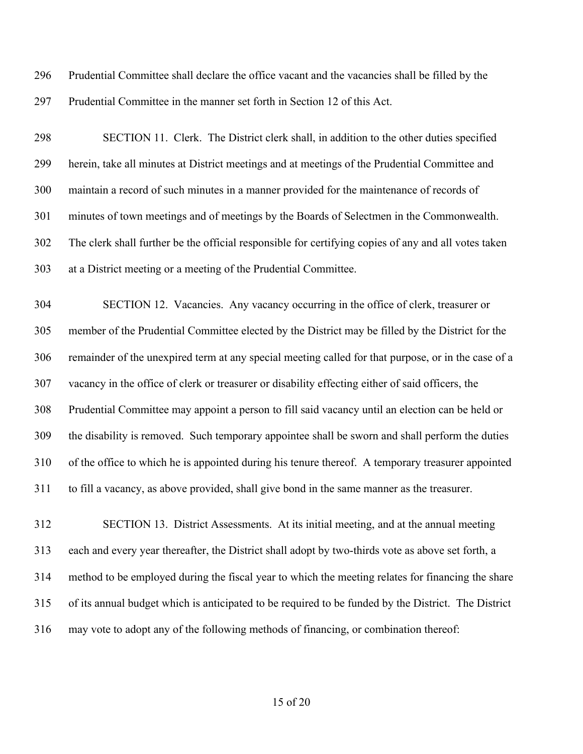Prudential Committee shall declare the office vacant and the vacancies shall be filled by the Prudential Committee in the manner set forth in Section 12 of this Act.

 SECTION 11. Clerk. The District clerk shall, in addition to the other duties specified herein, take all minutes at District meetings and at meetings of the Prudential Committee and maintain a record of such minutes in a manner provided for the maintenance of records of minutes of town meetings and of meetings by the Boards of Selectmen in the Commonwealth. The clerk shall further be the official responsible for certifying copies of any and all votes taken at a District meeting or a meeting of the Prudential Committee.

 SECTION 12. Vacancies. Any vacancy occurring in the office of clerk, treasurer or member of the Prudential Committee elected by the District may be filled by the District for the remainder of the unexpired term at any special meeting called for that purpose, or in the case of a vacancy in the office of clerk or treasurer or disability effecting either of said officers, the Prudential Committee may appoint a person to fill said vacancy until an election can be held or the disability is removed. Such temporary appointee shall be sworn and shall perform the duties of the office to which he is appointed during his tenure thereof. A temporary treasurer appointed to fill a vacancy, as above provided, shall give bond in the same manner as the treasurer.

 SECTION 13. District Assessments. At its initial meeting, and at the annual meeting each and every year thereafter, the District shall adopt by two-thirds vote as above set forth, a method to be employed during the fiscal year to which the meeting relates for financing the share of its annual budget which is anticipated to be required to be funded by the District. The District may vote to adopt any of the following methods of financing, or combination thereof: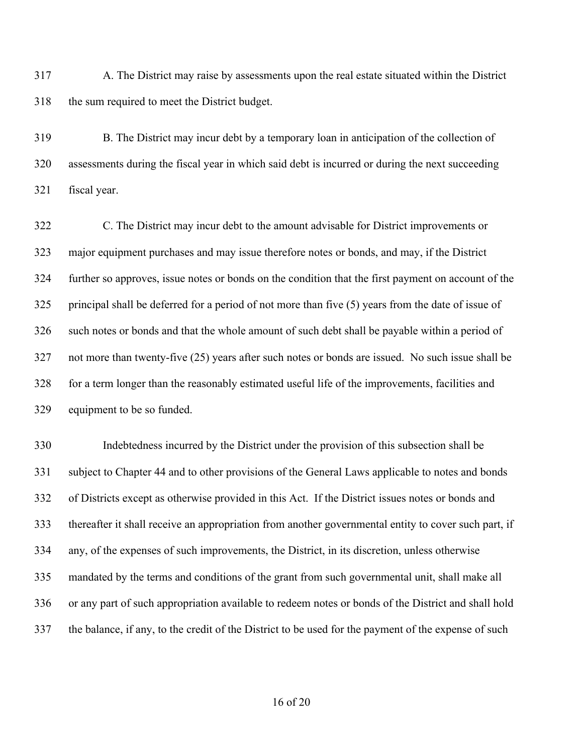A. The District may raise by assessments upon the real estate situated within the District the sum required to meet the District budget.

 B. The District may incur debt by a temporary loan in anticipation of the collection of assessments during the fiscal year in which said debt is incurred or during the next succeeding fiscal year.

 C. The District may incur debt to the amount advisable for District improvements or major equipment purchases and may issue therefore notes or bonds, and may, if the District further so approves, issue notes or bonds on the condition that the first payment on account of the principal shall be deferred for a period of not more than five (5) years from the date of issue of such notes or bonds and that the whole amount of such debt shall be payable within a period of not more than twenty-five (25) years after such notes or bonds are issued. No such issue shall be for a term longer than the reasonably estimated useful life of the improvements, facilities and equipment to be so funded.

 Indebtedness incurred by the District under the provision of this subsection shall be subject to Chapter 44 and to other provisions of the General Laws applicable to notes and bonds of Districts except as otherwise provided in this Act. If the District issues notes or bonds and thereafter it shall receive an appropriation from another governmental entity to cover such part, if any, of the expenses of such improvements, the District, in its discretion, unless otherwise mandated by the terms and conditions of the grant from such governmental unit, shall make all or any part of such appropriation available to redeem notes or bonds of the District and shall hold the balance, if any, to the credit of the District to be used for the payment of the expense of such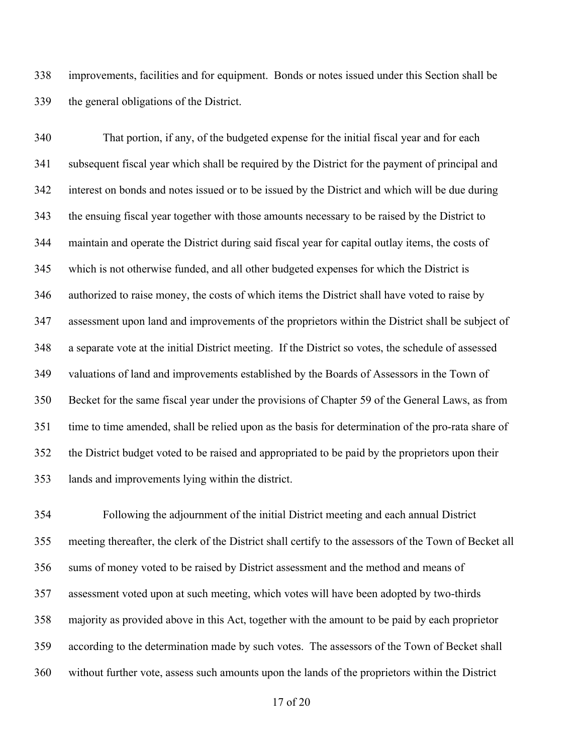improvements, facilities and for equipment. Bonds or notes issued under this Section shall be the general obligations of the District.

 That portion, if any, of the budgeted expense for the initial fiscal year and for each subsequent fiscal year which shall be required by the District for the payment of principal and interest on bonds and notes issued or to be issued by the District and which will be due during the ensuing fiscal year together with those amounts necessary to be raised by the District to maintain and operate the District during said fiscal year for capital outlay items, the costs of which is not otherwise funded, and all other budgeted expenses for which the District is authorized to raise money, the costs of which items the District shall have voted to raise by assessment upon land and improvements of the proprietors within the District shall be subject of a separate vote at the initial District meeting. If the District so votes, the schedule of assessed valuations of land and improvements established by the Boards of Assessors in the Town of Becket for the same fiscal year under the provisions of Chapter 59 of the General Laws, as from time to time amended, shall be relied upon as the basis for determination of the pro-rata share of the District budget voted to be raised and appropriated to be paid by the proprietors upon their lands and improvements lying within the district.

 Following the adjournment of the initial District meeting and each annual District meeting thereafter, the clerk of the District shall certify to the assessors of the Town of Becket all sums of money voted to be raised by District assessment and the method and means of assessment voted upon at such meeting, which votes will have been adopted by two-thirds majority as provided above in this Act, together with the amount to be paid by each proprietor according to the determination made by such votes. The assessors of the Town of Becket shall without further vote, assess such amounts upon the lands of the proprietors within the District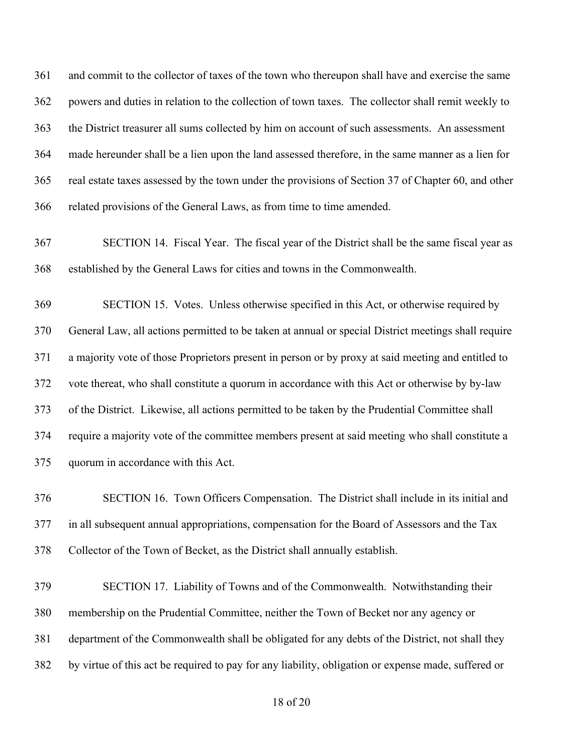and commit to the collector of taxes of the town who thereupon shall have and exercise the same powers and duties in relation to the collection of town taxes. The collector shall remit weekly to the District treasurer all sums collected by him on account of such assessments. An assessment made hereunder shall be a lien upon the land assessed therefore, in the same manner as a lien for real estate taxes assessed by the town under the provisions of Section 37 of Chapter 60, and other related provisions of the General Laws, as from time to time amended.

 SECTION 14. Fiscal Year. The fiscal year of the District shall be the same fiscal year as established by the General Laws for cities and towns in the Commonwealth.

 SECTION 15. Votes. Unless otherwise specified in this Act, or otherwise required by General Law, all actions permitted to be taken at annual or special District meetings shall require a majority vote of those Proprietors present in person or by proxy at said meeting and entitled to vote thereat, who shall constitute a quorum in accordance with this Act or otherwise by by-law of the District. Likewise, all actions permitted to be taken by the Prudential Committee shall require a majority vote of the committee members present at said meeting who shall constitute a quorum in accordance with this Act.

 SECTION 16. Town Officers Compensation. The District shall include in its initial and in all subsequent annual appropriations, compensation for the Board of Assessors and the Tax Collector of the Town of Becket, as the District shall annually establish.

 SECTION 17. Liability of Towns and of the Commonwealth. Notwithstanding their membership on the Prudential Committee, neither the Town of Becket nor any agency or department of the Commonwealth shall be obligated for any debts of the District, not shall they by virtue of this act be required to pay for any liability, obligation or expense made, suffered or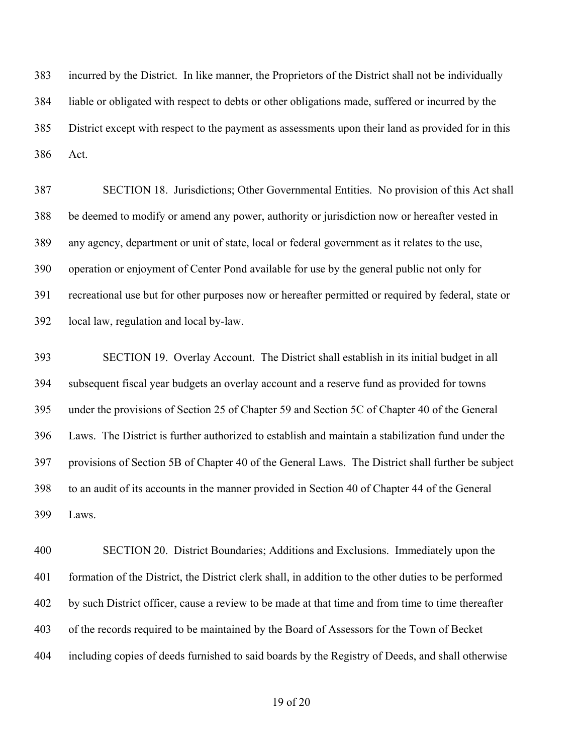incurred by the District. In like manner, the Proprietors of the District shall not be individually liable or obligated with respect to debts or other obligations made, suffered or incurred by the District except with respect to the payment as assessments upon their land as provided for in this Act.

 SECTION 18. Jurisdictions; Other Governmental Entities. No provision of this Act shall be deemed to modify or amend any power, authority or jurisdiction now or hereafter vested in any agency, department or unit of state, local or federal government as it relates to the use, operation or enjoyment of Center Pond available for use by the general public not only for recreational use but for other purposes now or hereafter permitted or required by federal, state or local law, regulation and local by-law.

 SECTION 19. Overlay Account. The District shall establish in its initial budget in all subsequent fiscal year budgets an overlay account and a reserve fund as provided for towns under the provisions of Section 25 of Chapter 59 and Section 5C of Chapter 40 of the General Laws. The District is further authorized to establish and maintain a stabilization fund under the provisions of Section 5B of Chapter 40 of the General Laws. The District shall further be subject to an audit of its accounts in the manner provided in Section 40 of Chapter 44 of the General Laws.

 SECTION 20. District Boundaries; Additions and Exclusions. Immediately upon the formation of the District, the District clerk shall, in addition to the other duties to be performed by such District officer, cause a review to be made at that time and from time to time thereafter of the records required to be maintained by the Board of Assessors for the Town of Becket including copies of deeds furnished to said boards by the Registry of Deeds, and shall otherwise